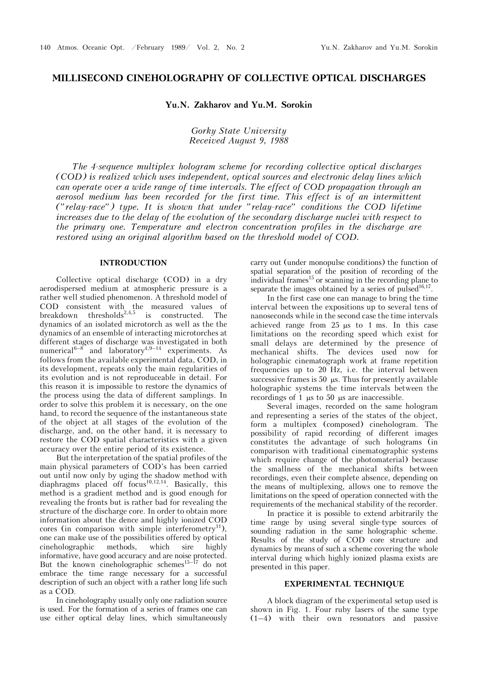# **MILLISECOND CINEHOLOGRAPHY OF COLLECTIVE OPTICAL DISCHARGES**

## **Yu.N. Zakharov and Yu.M. Sorokin**

*Gorky State University Received August 9, 1988* 

*The 4-sequence multiplex hologram scheme for recording collective optical discharges (COD) is realized which uses independent, optical sources and electronic delay lines which can operate over a wide range of time intervals. The effect of COD propagation through an aerosol medium has been recorded for the first time. This effect is of an intermittent ("relay-race") type. It is shown that under "relay-race" conditions the COD lifetime increases due to the delay of the evolution of the secondary discharge nuclei with respect to the primary one. Temperature and electron concentration profiles in the discharge are restored using an original algorithm based on the threshold model of COD.* 

### **INTRODUCTION**

Collective optical discharge (COD) in a dry aerodispersed medium at atmospheric pressure is a rather well studied phenomenon. A threshold model of COD consistent with the measured values of breakdown thresholds<sup>2,4,5</sup> is constructed. The dynamics of an isolated microtorch as well as the the dynamics of an ensemble of interacting microtorches at different stages of discharge was investigated in both numerical<sup>6–8</sup> and laboratory<sup>4,9–14</sup> experiments. As follows from the available experimental data, COD, in its development, repeats only the main regularities of its evolution and is not reproduceable in detail. For this reason it is impossible to restore the dynamics of the process using the data of different samplings. In order to solve this problem it is necessary, on the one hand, to record the sequence of the instantaneous state of the object at all stages of the evolution of the discharge, and, on the other hand, it is necessary to restore the COD spatial characteristics with a given accuracy over the entire period of its existence.

But the interpretation of the spatial profiles of the main physical parameters of COD's has been carried out until now only by uging the shadow method with diaphragms placed off focus<sup>10,12,14</sup>. Basically, this method is a gradient method and is good enough for revealing the fronts but is rather bad for revealing the structure of the discharge core. In order to obtain more information about the dence and highly ionized COD cores (in comparison with simple interferometry<sup>11</sup>), one can make use of the possibilities offered by optical cineholographic methods, which sire highly informative, have good accuracy and are noise protected. But the known cineholographic schemes<sup>15–17</sup> do not embrace the time range necessary for a successful description of such an object with a rather long life such as a COD.

In cineholography usually only one radiation source is used. For the formation of a series of frames one can use either optical delay lines, which simultaneously carry out (under monopulse conditions) the function of spatial separation of the position of recording of the individual frames<sup>15</sup> or scanning in the recording plane to separate the images obtained by a series of pulsed $16,17$ .

In the first case one can manage to bring the time interval between the expositions up to several tens of nanoseconds while in the second case the time intervals achieved range from  $25 \mu s$  to 1 ms. In this case limitations on the recording speed which exist for small delays are determined by the presence of mechanical shifts. The devices used now for holographic cinematograph work at frame repetition frequencies up to 20 Hz, i.e. the interval between successive frames is  $50 \mu s$ . Thus for presently available holographic systems the time intervals between the recordings of 1  $\mu$ s to 50  $\mu$ s are inaccessible.

Several images, recorded on the same hologram and representing a series of the states of the object, form a multiplex (composed) cinehologram. The possibility of rapid recording of different images constitutes the advantage of such holograms (in comparison with traditional cinematographic systems which require change of the photomaterial) because the smallness of the mechanical shifts between recordings, even their complete absence, depending on the means of multiplexing, allows one to remove the limitations on the speed of operation connected with the requirements of the mechanical stability of the recorder.

In practice it is possible to extend arbitrarily the time range by using several single-type sources of sounding radiation in the same holographic scheme. Results of the study of COD core structure and dynamics by means of such a scheme covering the whole interval during which highly ionized plasma exists are presented in this paper.

#### **EXPERIMENTAL TECHNIQUE**

A block diagram of the experimental setup used is shown in Fig. 1. Four ruby lasers of the same type (1–4) with their own resonators and passive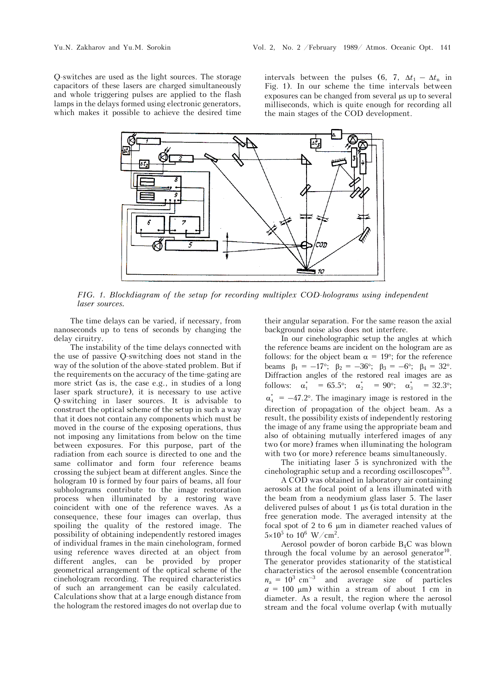Q-switches are used as the light sources. The storage capacitors of these lasers are charged simultaneously and whole triggering pulses are applied to the flash lamps in the delays formed using electronic generators, which makes it possible to achieve the desired time intervals between the pulses (6, 7,  $\Delta t_1 - \Delta t_n$  in Fig. 1). In our scheme the time intervals between exposures can be changed from several us up to several milliseconds, which is quite enough for recording all the main stages of the COD development.



*FIG. 1. Blockdiagram of the setup for recording multiplex COD-holograms using independent laser sources.* 

The time delays can be varied, if necessary, from nanoseconds up to tens of seconds by changing the delay ciruitry.

The instability of the time delays connected with the use of passive Q-switching does not stand in the way of the solution of the above-stated problem. But if the requirements on the accuracy of the time-gating are more strict (as is, the case e.g., in studies of a long laser spark structure), it is necessary to use active Q-switching in laser sources. It is advisable to construct the optical scheme of the setup in such a way that it does not contain any components which must be moved in the course of the exposing operations, thus not imposing any limitations from below on the time between exposures. For this purpose, part of the radiation from each source is directed to one and the same collimator and form four reference beams crossing the subject beam at different angles. Since the hologram 10 is formed by four pairs of beams, all four subholograms contribute to the image restoration process when illuminated by a restoring wave coincident with one of the reference waves. As a consequence, these four images can overlap, thus spoiling the quality of the restored image. The possibility of obtaining independently restored images of individual frames in the main cinehologram, formed using reference waves directed at an object from different angles, can be provided by proper geometrical arrangement of the optical scheme of the cinehologram recording. The required characteristics of such an arrangement can be easily calculated. Calculations show that at a large enough distance from the hologram the restored images do not overlap due to

their angular separation. For the same reason the axial background noise also does not interfere.

In our cineholographic setup the angles at which the reference beams are incident on the hologram are as follows: for the object beam  $\alpha = 19^{\circ}$ ; for the reference beams  $\beta_1 = -17^{\circ}$ ;  $\beta_2 = -36^{\circ}$ ;  $\beta_3 = -6^{\circ}$ ;  $\beta_4 = 32^{\circ}$ . Diffraction angles of the restored real images are as follows:  $\alpha_1^* = 65.5^{\circ}; \quad \alpha_2^* = 90^{\circ}; \quad \alpha_3^* = 32.3^{\circ};$  $\alpha_{4}^{*} = -47.2^{\circ}$ . The imaginary image is restored in the direction of propagation of the object beam. As a result, the possibility exists of independently restoring the image of any frame using the appropriate beam and also of obtaining mutually interfered images of any two (or more) frames when illuminating the hologram with two (or more) reference beams simultaneously.

The initiating laser 5 is synchronized with the cineholographic setup and a recording oscilloscopes<sup>8,9</sup>.

A COD was obtained in laboratory air containing aerosols at the focal point of a lens illuminated with the beam from a neodymium glass laser 5. The laser delivered pulses of about 1  $\mu$ s (is total duration in the free generation mode. The averaged intensity at the focal spot of  $2$  to  $6 \mu m$  in diameter reached values of  $5 \times 10^5$  to  $10^6$  W/cm<sup>2</sup>.

Aerosol powder of boron carbide  $B_4C$  was blown through the focal volume by an aerosol generator $10$ . The generator provides stationarity of the statistical characteristics of the aerosol ensemble (concentration  $n_a = 10^3$  cm<sup>-3</sup> and average size of particles  $a = 100 \text{ }\mu\text{m}$ ) within a stream of about 1 cm in diameter. As a result, the region where the aerosol stream and the focal volume overlap (with mutually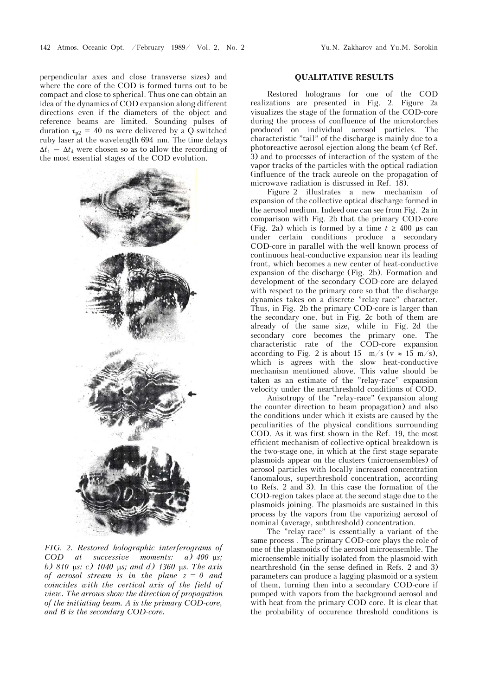perpendicular axes and close transverse sizes) and where the core of the COD is formed turns out to be compact and close to spherical. Thus one can obtain an idea of the dynamics of COD expansion along different directions even if the diameters of the object and reference beams are limited. Sounding pulses of duration  $\tau_{p2}$  = 40 ns were delivered by a Q-switched ruby laser at the wavelength 694 nm. The time delays  $\Delta t_1 - \Delta t_4$  were chosen so as to allow the recording of the most essential stages of the COD evolution.



*FIG. 2. Restored holographic interferograms of COD at successive moments: a) 400 us: b)* 810 µs; c) 1040 µs; and d) 1360 µs. The axis *of aerosol stream is in the plane z = 0 and coincides with the vertical axis of the field of view. The arrows show the direction of propagation of the initiating beam. A is the primary COD-core, and is the secondary COD-core.* 

## **QUALITATIVE RESULTS**

Restored holograms for one of the COD realizations are presented in Fig. 2. Figure 2a visualizes the stage of the formation of the COD-core during the process of confluence of the microtorches produced on individual aerosol particles. The characteristic "tail" of the discharge is mainly due to a photoreactive aerosol ejection along the beam (cf Ref. 3) and to processes of interaction of the system of the vapor tracks of the particles with the optical radiation (influence of the track aureole on the propagation of microwave radiation is discussed in Ref. 18).

Figure 2 illustrates a new mechanism of expansion of the collective optical discharge formed in the aerosol medium. Indeed one can see from Fig. 2a in comparison with Fig. 2b that the primary COD-core (Fig. 2a) which is formed by a time  $t \geq 400$  us can under certain conditions produce a secondary COD-core in parallel with the well known process of continuous heat-conductive expansion near its leading front, which becomes a new center of heat-conductive expansion of the discharge (Fig. 2b). Formation and development of the secondary COD-core are delayed with respect to the primary core so that the discharge dynamics takes on a discrete "relay-race" character. Thus, in Fig. 2b the primary COD-core is larger than the secondary one, but in Fig. 2c both of them are already of the same size, while in Fig. 2d the secondary core becomes the primary one. The characteristic rate of the COD-core expansion according to Fig. 2 is about 15 m/s ( $v \approx 15$  m/s), which is agrees with the slow heat-conductive mechanism mentioned above. This value should be taken as an estimate of the "relay-race" expansion velocity under the nearthreshold conditions of COD.

Anisotropy of the "relay-race" (expansion along the counter direction to beam propagation) and also the conditions under which it exists are caused by the peculiarities of the physical conditions surrounding COD. As it was first shown in the Ref. 19, the most efficient mechanism of collective optical breakdown is the two-stage one, in which at the first stage separate plasmoids appear on the clusters (microensembles) of aerosol particles with locally increased concentration (anomalous, superthreshold concentration, according to Refs. 2 and 3). In this case the formation of the COD-region takes place at the second stage due to the plasmoids joining. The plasmoids are sustained in this process by the vapors from the vaporizing aerosol of nominal (average, subthreshold) concentration.

The "relay-race" is essentially a variant of the same process . The primary COD-core plays the role of one of the plasmoids of the aerosol microensemble. The microensemble initially isolated from the plasmoid with nearthreshold (in the sense defined in Refs. 2 and 3) parameters can produce a lagging plasmoid or a system of them, turning then into a secondary COD-core if pumped with vapors from the background aerosol and with heat from the primary COD-core. It is clear that the probability of occurence threshold conditions is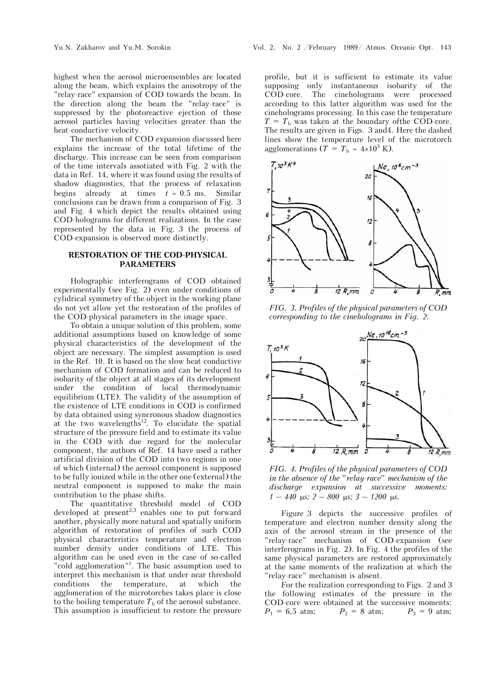highest when the aerosol microensembles are located along the beam, which explains the anisotropy of the "relay-race" expansion of COD towards the beam. In the direction along the beam the "relay-race" is suppressed by the photoreactive ejection of those aerosol particles having velocities greater than the heat-conductive velocity.

The mechanism of COD expansion discussed here explains the increase of the total lifetime of the discharge. This increase can be seen from comparison of the time intervals assotiated with Fig. 2 with the data in Ref. 14, where it was found using the results of shadow diagnostics, that the process of relaxation begins already at times  $t \sim 0.5$  ms. Similar conclusions can be drawn from a comparison of Fig. 3 and Fig. 4 which depict the results obtained using COD-holograms for different realizations. In the case represented by the data in Fig. 3 the process of COD-expansion is observed more distinctly.

## **RESTORATION OF THE COD-PHYSICAL PARAMETERS**

Holographic interferograms of COD obtained experimentally (see Fig. 2) even under conditions of cylidrical symmetry of the object in the working plane do not yet allow yet the restoration of the profiles of the COD-physical parameters in the image space.

To obtain a unique solution of this problem, some additional assumptions based on knowledge of some physical characteristics of the development of the object are necessary. The simplest assumption is used in the Ref. 10. It is based on the slow heat-conductive mechanism of COD formation and can be reduced to isobarity of the object at all stages of its development under the condition of local thermodynamic equilibrium (LTE). The validity of the assumption of the existence of LTE conditions in COD is confirmed by data obtained using syncronous shadow diagnostics at the two wavelengths<sup>12</sup>. To elucidate the spatial structure of the pressure field and to estimate its value in the COD with due regard for the molecular component, the authors of Ref. 14 have used a rather artificial division of the COD into two regions in one of which (internal) the aerosol component is supposed to be fully ionized while in the other one (external) the neutral component is supposed to make the main contribution to the phase shifts.

The quantitative threshold model of COD  $\frac{1}{2}$  developed at present<sup>2,3</sup> enables one to put forward another, physically more natural and spatially uniform algorithm of restoration of profiles of such COD physical characteristics temperature and electron number density under conditions of LTE. This algorithm can be used even in the case of so-called "cold agglomeration"<sup>1</sup>. The basic assumption used to interpret this mechanism is that under near threshold conditions the temperature, at which the agglomeration of the microtorches takes place is close to the boiling temperature  $T<sub>b</sub>$  of the aerosol substance. This assumption is insufficient to restore the pressure

profile, but it is sufficient to estimate its value supposing only instantaneous isobarity of the COD-core. The cineholograms were processed according to this latter algorithm was used for the cineholograms processing. In this case the temperature  $T = T<sub>b</sub>$  was taken at the boundary of the COD-core. The results are given in Figs. 3 and4. Here the dashed lines show the temperature level of the microtorch agglomerations ( $T = T_b \sim 4 \times 10^3$  K).



*FIG. 3. Profiles of the physical parameters of COD corresponding to the cineholograms in Fig. 2.*



*FIG. 4. Profiles of the physical parameters of COD in the absence of the "relay-race" mechanism of the discharge expansion at successive moments:*   $1 - 440$   $\mu$ s;  $2 - 800$   $\mu$ s;  $3 - 1200$   $\mu$ s.

Figure 3 depicts the successive profiles of temperature and electron number density along the axis of the aerosol stream in the presence of the "relay-race" mechanism of COD-expansion (see interferograms in Fig. 2). In Fig. 4 the profiles of the same physical parameters are restored approximately at the same moments of the realization at which the "relay-race" mechanism is absent.

For the realization corresponding to Figs. 2 and 3 the following estimates of the pressure in the COD-core were obtained at the successive moments:  $P_1 = 6.5$  atm;  $P_2 = 8$  atm;  $P_3 = 9$  atm;